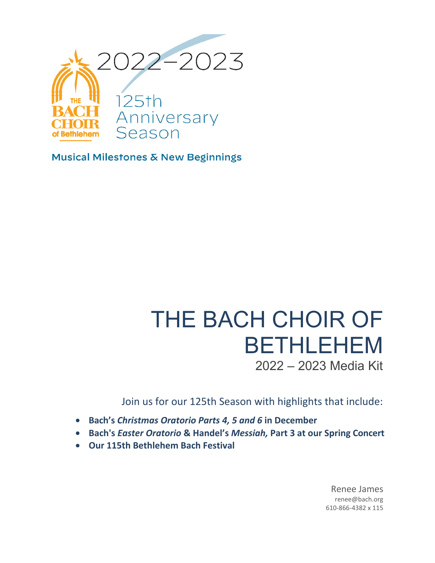

Musical Milestones & New Beginnings

# THE BACH CHOIR OF BETHLEHEM 2022 – 2023 Media Kit

Join us for our 125th Season with highlights that include:

- **Bach's** *Christmas Oratorio Parts 4, 5 and 6* **in December**
- **Bach's** *Easter Oratorio* **& Handel's** *Messiah,* **Part 3 at our Spring Concert**
- **Our 115th Bethlehem Bach Festival**

Renee James renee@bach.org 610-866-4382 x 115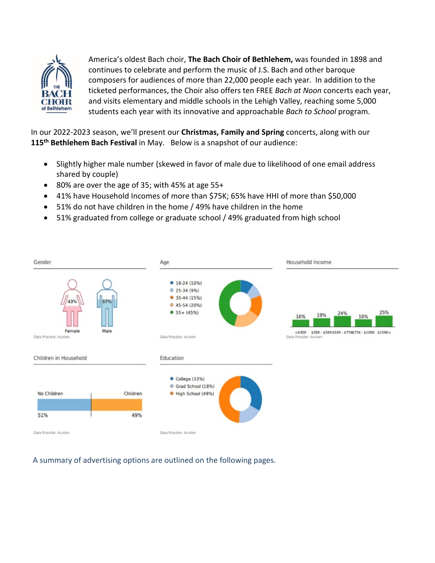

America's oldest Bach choir, **The Bach Choir of Bethlehem,** was founded in 1898 and continues to celebrate and perform the music of J.S. Bach and other baroque composers for audiences of more than 22,000 people each year. In addition to the ticketed performances, the Choir also offers ten FREE *Bach at Noon* concerts each year, and visits elementary and middle schools in the Lehigh Valley, reaching some 5,000 students each year with its innovative and approachable *Bach to School* program.

In our 2022-2023 season, we'll present our **Christmas, Family and Spring** concerts, along with our **115 th Bethlehem Bach Festival** in May. Below is a snapshot of our audience:

- Slightly higher male number (skewed in favor of male due to likelihood of one email address shared by couple)
- 80% are over the age of 35; with 45% at age 55+
- 41% have Household Incomes of more than \$75K; 65% have HHI of more than \$50,000
- 51% do not have children in the home / 49% have children in the home
- 51% graduated from college or graduate school / 49% graduated from high school



A summary of advertising options are outlined on the following pages.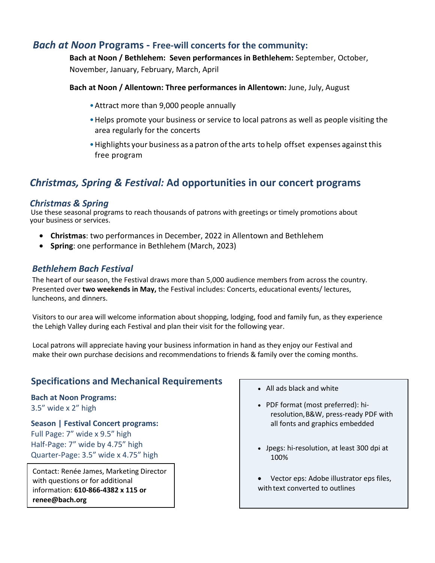### *Bach at Noon* **Programs - Free-will concerts for the community:**

**Bach at Noon / Bethlehem: Seven performances in Bethlehem:** September, October,

November, January, February, March, April

### **Bach at Noon / Allentown: Three performances in Allentown:** June, July, August

- •Attract more than 9,000 people annually
- •Helps promote your business or service to local patrons as well as people visiting the area regularly for the concerts
- Highlights your business as a patron of the arts to help offset expenses against this free program

# *Christmas, Spring & Festival:* **Ad opportunities in our concert programs**

### *Christmas & Spring*

Use these seasonal programs to reach thousands of patrons with greetings or timely promotions about your business or services.

- **Christmas**: two performances in December, 2022 in Allentown and Bethlehem
- **Spring**: one performance in Bethlehem (March, 2023)

### *Bethlehem Bach Festival*

The heart of our season, the Festival draws more than 5,000 audience members from across the country. Presented over **two weekends in May,** the Festival includes: Concerts, educational events/ lectures, luncheons, and dinners.

Visitors to our area will welcome information about shopping, lodging, food and family fun, as they experience the Lehigh Valley during each Festival and plan their visit for the following year.

Local patrons will appreciate having your business information in hand as they enjoy our Festival and make their own purchase decisions and recommendations to friends & family over the coming months.

## **Specifications and Mechanical Requirements**

### **Bach at Noon Programs:** 3.5" wide x 2" high

**Season | Festival Concert programs:**  Full Page: 7" wide x 9.5" high Half-Page: 7" wide by 4.75" high Quarter-Page: 3.5" wide x 4.75" high

Contact: Renée James, Marketing Director with questions or for additional information: **610-866-4382 x 115 or renee@bach.org**

- All ads black and white
- PDF format (most preferred): hiresolution,B&W, press-ready PDF with all fonts and graphics embedded
- Jpegs: hi-resolution, at least 300 dpi at 100%
- Vector eps: Adobe illustrator eps files, with text converted to outlines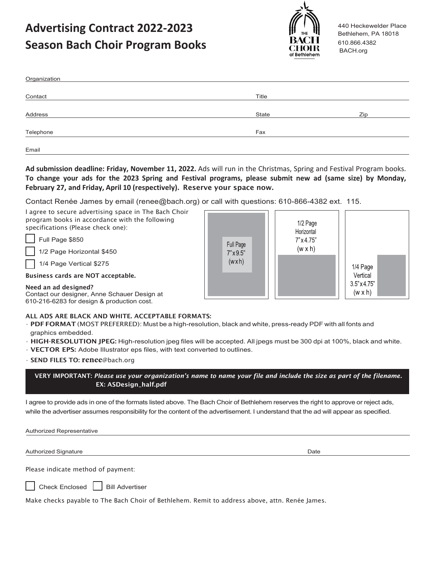# **Advertising Contract 2022-2023 Season Bach Choir Program Books**



440 Heckewelder Place Bethlehem, PA 18018 610.866.4382 BACH.org

| Organization |       |     |
|--------------|-------|-----|
|              |       |     |
| Contact      | Title |     |
|              |       |     |
| Address      | State | Zip |
| Telephone    | Fax   |     |
| Email        |       |     |

**Ad submission deadline: Friday, November 11, 2022.** Ads will run in the Christmas, Spring and Festival Program books. **To change your ads for the 2023 Spring and Festival programs, please submit new ad (same size) by Monday, February 27, and Friday, April 10 (respectively).** Reserve your space now.

Contact Renée James by email (renee@bach.org) or call with questions: 610-866-4382 ext. 115.

| I agree to secure advertising space in The Bach Choir |
|-------------------------------------------------------|
| program books in accordance with the following        |
| specifications (Please check one):                    |

Full Page \$850

1/2 Page Horizontal \$450

1/4 Page Vertical \$275

Business cards are NOT acceptable.

Need an ad designed? Contact our designer, Anne Schauer Design at 610-216-6283 for design & production cost.



### ALL ADS ARE BLACK AND WHITE. ACCEPTABLE FORMATS:

• PDF FORMAT (MOST PREFERRED): Must be a high-resolution, black and white, press-ready PDF with all fonts and graphics embedded.

• HIGH-RESOLUTION JPEG: High-resolution jpeg files will be accepted. All jpegs must be 300 dpi at 100%, black and white.

• VECTOR EPS: Adobe Illustrator eps files, with text converted to outlines.

• SEND FILES TO: **renee**[@bach.org](mailto:renee@bach.org)

VERY IMPORTANT: *Please use your organization's name to name your file and include the size as part of the filename.* EX: ASDesign\_half.pdf

I agree to provide ads in one of the formats listed above. The Bach Choir of Bethlehem reserves the right to approve or reject ads, while the advertiser assumes responsibility for the content of the advertisement. I understand that the ad will appear as specified.

Authorized Representative

Authorized Signature **Date of the Contract of the Contract of the Contract of the Contract of the Contract of Co** 

Please indicate method of payment:



Check Enclosed  $\Box$  Bill Advertiser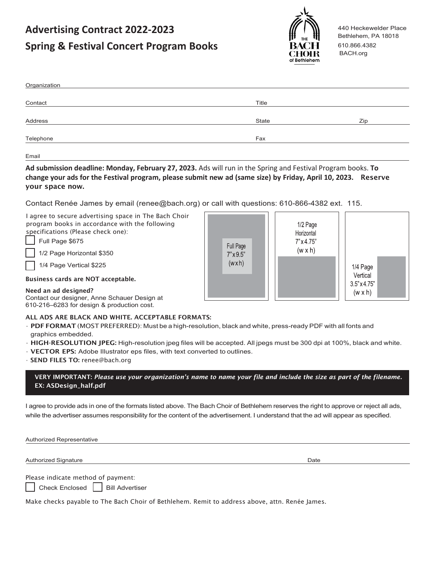# **Advertising Contract 2022-2023 Spring & Festival Concert Program Books**



440 Heckewelder Place Bethlehem, PA 18018 610.866.4382 BACH.org

| Organization |       |     |
|--------------|-------|-----|
|              |       |     |
| Contact      | Title |     |
| Address      | State | Zip |
|              |       |     |
| Telephone    | Fax   |     |
|              |       |     |

Email

**Ad submission deadline: Monday, February 27, 2023.** Ads will run in the Spring and Festival Program books. **To change your ads for the Festival program, please submit new ad (same size) by Friday, April 10, 2023.** Reserve your space now.

Contact Renée James by email (renee@bach.org) or call with questions: 610-866-4382 ext. 115.

| I agree to secure advertising space in The Bach Choir<br>program books in accordance with the following<br>specifications (Please check one):<br>Full Page \$675<br>1/2 Page Horizontal \$350<br>1/4 Page Vertical \$225 | Full Page<br>$7" \times 9.5"$<br>(wxh) | 1/2 Page<br>Horizontal<br>$7" \times 4.75"$<br>$(w \times h)$ | 1/4 Page                              |  |
|--------------------------------------------------------------------------------------------------------------------------------------------------------------------------------------------------------------------------|----------------------------------------|---------------------------------------------------------------|---------------------------------------|--|
| Business cards are NOT acceptable.                                                                                                                                                                                       |                                        |                                                               | Vertical                              |  |
| Need an ad designed?                                                                                                                                                                                                     |                                        |                                                               | $3.5" \times 4.75"$<br>$(w \times h)$ |  |

Contact our designer, Anne Schauer Design at 610-216–6283 for design & production cost.

### ALL ADS ARE BLACK AND WHITE. ACCEPTABLE FORMATS:

• PDF FORMAT (MOST PREFERRED): Must be a high-resolution, black and white, press-ready PDF with all fonts and graphics embedded.

- HIGH-RESOLUTION JPEG: High-resolution jpeg files will be accepted. All jpegs must be 300 dpi at 100%, black and white.
- VECTOR EPS: Adobe Illustrator eps files, with text converted to outlines.
- SEND FILES TO: [renee@bach.org](mailto:renee@bach.org)

VERY IMPORTANT: *Please use your organization's name to name your file and include the size as part of the filename.* EX: ASDesign\_half.pdf

I agree to provide ads in one of the formats listed above. The Bach Choir of Bethlehem reserves the right to approve or reject all ads, while the advertiser assumes responsibility for the content of the advertisement. I understand that the ad will appear as specified.

Authorized Representative

Authorized Signature **Date of the Contract of the Contract of the Contract of the Contract of the Contract of Co** 

Please indicate method of payment:

Check Enclosed  $\vert$  | Bill Advertiser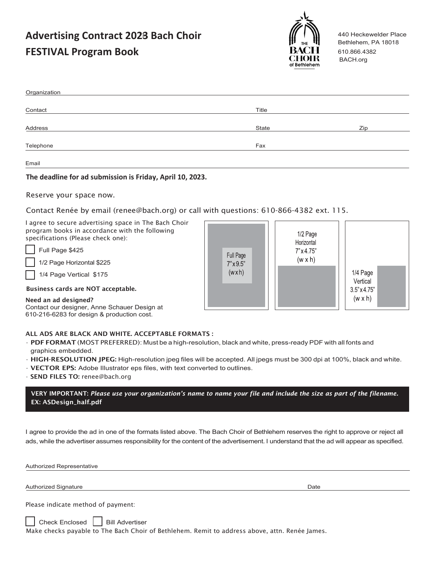# **Advertising Contract 2023 Bach Choir**  3**FESTIVAL Program Book**



440 Heckewelder Place Bethlehem, PA 18018 610.866.4382 BACH.org

| Organization |       |     |
|--------------|-------|-----|
|              |       |     |
| Contact      | Title |     |
|              |       |     |
| Address      | State | Zip |
|              |       |     |
| Telephone    | Fax   |     |
| Email        |       |     |
|              |       |     |

**Common** 

### **The deadline for ad submission is Friday, April 10, 2023.**

Reserve your space now.

### Contact Renée by email (renee@bach.org) or call with questions: 610-866-4382 ext. 115.

I agree to secure advertising space in The Bach Choir program books in accordance with the following specifications (Please check one):

Full Page \$425

1/2 Page Horizontal \$225

1/4 Page Vertical \$175

#### Business cards are NOT acceptable.

Need an ad designed? Contact our designer, Anne Schauer Design at 610-216-6283 for design & production cost.

| Full Page                 | 1/2 Page<br>Horizontal<br>$7" \times 4.75"$<br>$(w \times h)$ |                                             |
|---------------------------|---------------------------------------------------------------|---------------------------------------------|
| $7" \times 9.5"$<br>(wxh) |                                                               | 1/4 Page<br>Vertical<br>$3.5" \times 4.75"$ |
|                           |                                                               | $(w \times h)$                              |

ת ו

 $\sqrt{ }$ 

### ALL ADS ARE BLACK AND WHITE. ACCEPTABLE FORMATS :

- PDF FORMAT (MOST PREFERRED): Must be a high-resolution, black and white, press-ready PDF with all fonts and graphics embedded.
- HIGH-RESOLUTION JPEG: High-resolution jpeg files will be accepted. All jpegs must be 300 dpi at 100%, black and white.
- VECTOR EPS: Adobe Illustrator eps files, with text converted to outlines.
- SEND FILES TO: [renee@bach.org](mailto:renee@bach.org)

VERY IMPORTANT: *Please use your organization's name to name your file and include the size as part of the filename.* EX: ASDesign\_half.pdf

I agree to provide the ad in one of the formats listed above. The Bach Choir of Bethlehem reserves the right to approve or reject all ads, while the advertiser assumes responsibility for the content of the advertisement. I understand that the ad will appear as specified.

Authorized Representative

Authorized Signature **Date of the Contract of the Contract of the Contract of the Contract of the Contract of Co** 

Please indicate method of payment:

| Check Enclosed | | Bill Advertiser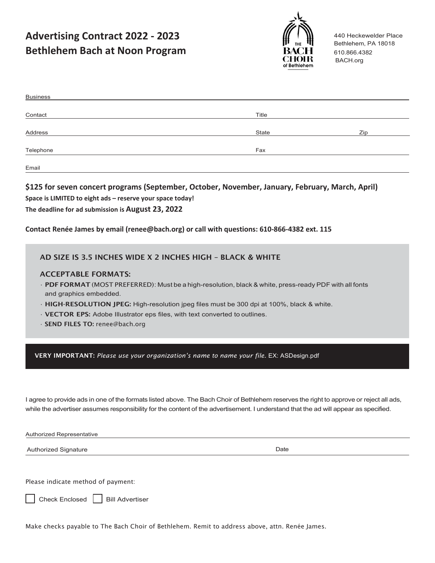**Advertising Contract 2022 - 2023 Bethlehem Bach at Noon Program**



440 Heckewelder Place Bethlehem, PA 18018 610.866.4382 BACH.org

| <b>Business</b> |       |     |
|-----------------|-------|-----|
|                 |       |     |
| Contact         | Title |     |
|                 |       |     |
| Address         | State | Zip |
| Telephone       | Fax   |     |
|                 |       |     |
| Email           |       |     |

**\$125 for seven concert programs (September, October, November, January, February, March, April) Space is LIMITED to eight ads – reserve your space today! The deadline for ad submission is August 23, 2022**

### **Contact Renée James by email (renee@bach.org) or call with questions: 610-866-4382 ext. 115**

### AD SIZE IS 3.5 INCHES WIDE X 2 INCHES HIGH – BLACK & WHITE

### ACCEPTABLE FORMATS:

- PDF FORMAT (MOST PREFERRED): Must be a high-resolution, black & white, press-ready PDF with all fonts and graphics embedded.
- HIGH-RESOLUTION JPEG: High-resolution jpeg files must be 300 dpi at 100%, black & white.
- VECTOR EPS: Adobe Illustrator eps files, with text converted to outlines.
- SEND FILES TO: [renee@bach.org](mailto:renee@bach.org)

VERY IMPORTANT: *Please use your organization's name to name your file.* EX: ASDesign.pdf

I agree to provide ads in one of the formats listed above. The Bach Choir of Bethlehem reserves the right to approve or reject all ads, while the advertiser assumes responsibility for the content of the advertisement. I understand that the ad will appear as specified.

Authorized Representative

Authorized Signature **Date** 

Please indicate method of payment:

Check Enclosed  $\vert$  Bill Advertiser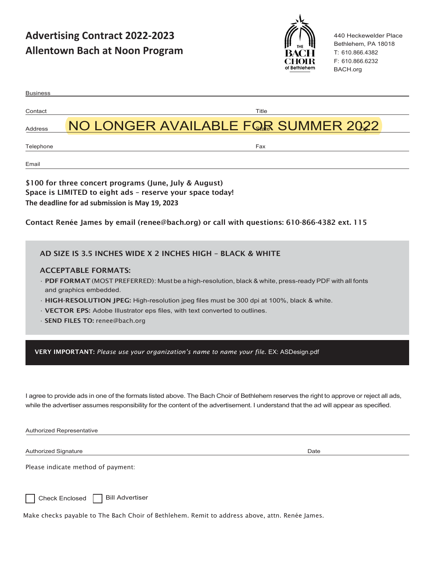**Advertising Contract 2022-2023 Allentown Bach at Noon Program**



440 Heckewelder Place Bethlehem, PA 18018 T: 610.866.4382 F: 610.866.6232 BACH.org

| <b>Business</b>                                                                         |                                                                                                                                                                                                                                                                                      |
|-----------------------------------------------------------------------------------------|--------------------------------------------------------------------------------------------------------------------------------------------------------------------------------------------------------------------------------------------------------------------------------------|
| Contact                                                                                 | Title                                                                                                                                                                                                                                                                                |
| Address                                                                                 | NO LONGER AVAILABLE FOR SUMMER 2022                                                                                                                                                                                                                                                  |
| Telephone                                                                               | Fax                                                                                                                                                                                                                                                                                  |
| Email                                                                                   |                                                                                                                                                                                                                                                                                      |
| The deadline for ad submission is May 19, 2023                                          | \$100 for three concert programs (June, July & August)<br>Space is LIMITED to eight ads - reserve your space today!                                                                                                                                                                  |
|                                                                                         | Contact Renée James by email (renee@bach.org) or call with questions: 610-866-4382 ext. 115                                                                                                                                                                                          |
|                                                                                         | AD SIZE IS 3.5 INCHES WIDE X 2 INCHES HIGH - BLACK & WHITE                                                                                                                                                                                                                           |
| <b>ACCEPTABLE FORMATS:</b><br>and graphics embedded.<br>· SEND FILES TO: renee@bach.org | · PDF FORMAT (MOST PREFERRED): Must be a high-resolution, black & white, press-ready PDF with all fonts<br>· HIGH-RESOLUTION JPEG: High-resolution jpeg files must be 300 dpi at 100%, black & white.<br>· VECTOR EPS: Adobe Illustrator eps files, with text converted to outlines. |
|                                                                                         | VERY IMPORTANT: Please use your organization's name to name your file. EX: ASDesign.pdf                                                                                                                                                                                              |
|                                                                                         | I agree to provide ads in one of the formats listed above. The Bach Choir of Bethlehem reserves the right to approve or reject all ads,<br>while the advertiser assumes responsibility for the content of the advertisement. I understand that the ad will appear as specified.      |
| Authorized Representative                                                               |                                                                                                                                                                                                                                                                                      |
| Authorized Signature                                                                    | Date                                                                                                                                                                                                                                                                                 |
| Please indicate method of payment:                                                      |                                                                                                                                                                                                                                                                                      |
| <b>Check Enclosed</b>                                                                   | <b>Bill Advertiser</b><br>Make checks payable to The Bach Choir of Bethlehem. Remit to address above, attn. Renée James.                                                                                                                                                             |